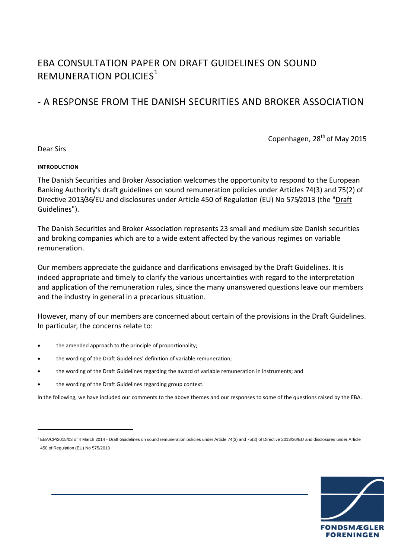# EBA CONSULTATION PAPER ON DRAFT GUIDELINES ON SOUND REMUNERATION POLICIES<sup>1</sup>

## - A RESPONSE FROM THE DANISH SECURITIES AND BROKER ASSOCIATION

Copenhagen, 28<sup>th</sup> of May 2015

Dear Sirs

1

## **INTRODUCTION**

The Danish Securities and Broker Association welcomes the opportunity to respond to the European Banking Authority's draft guidelines on sound remuneration policies under Articles 74(3) and 75(2) of Directive 2013/36/EU and disclosures under Article 450 of Regulation (EU) No 575/2013 (the "Draft Guidelines").

The Danish Securities and Broker Association represents 23 small and medium size Danish securities and broking companies which are to a wide extent affected by the various regimes on variable remuneration.

Our members appreciate the guidance and clarifications envisaged by the Draft Guidelines. It is indeed appropriate and timely to clarify the various uncertainties with regard to the interpretation and application of the remuneration rules, since the many unanswered questions leave our members and the industry in general in a precarious situation.

However, many of our members are concerned about certain of the provisions in the Draft Guidelines. In particular, the concerns relate to:

- the amended approach to the principle of proportionality;
- the wording of the Draft Guidelines' definition of variable remuneration;
- the wording of the Draft Guidelines regarding the award of variable remuneration in instruments; and
- the wording of the Draft Guidelines regarding group context.

In the following, we have included our comments to the above themes and our responses to some of the questions raised by the EBA.

<sup>1</sup> EBA/CP/2015/03 of 4 March 2014 - Draft Guidelines on sound remuneration policies under Article 74(3) and 75(2) of Directive 2013/36/EU and disclosures under Article 450 of Regulation (EU) No 575/2013

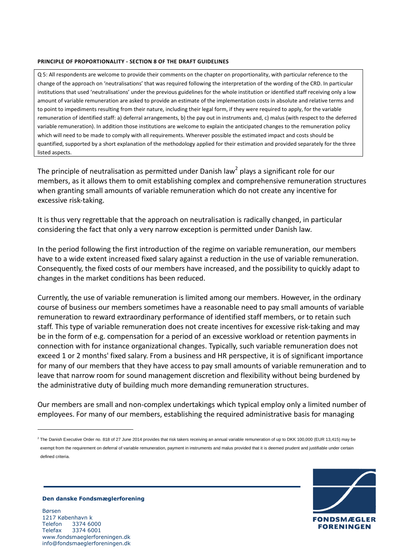#### **PRINCIPLE OF PROPORTIONALITY - SECTION 8 OF THE DRAFT GUIDELINES**

Q 5: All respondents are welcome to provide their comments on the chapter on proportionality, with particular reference to the change of the approach on 'neutralisations' that was required following the interpretation of the wording of the CRD. In particular institutions that used 'neutralisations' under the previous guidelines for the whole institution or identified staff receiving only a low amount of variable remuneration are asked to provide an estimate of the implementation costs in absolute and relative terms and to point to impediments resulting from their nature, including their legal form, if they were required to apply, for the variable remuneration of identified staff: a) deferral arrangements, b) the pay out in instruments and, c) malus (with respect to the deferred variable remuneration). In addition those institutions are welcome to explain the anticipated changes to the remuneration policy which will need to be made to comply with all requirements. Wherever possible the estimated impact and costs should be quantified, supported by a short explanation of the methodology applied for their estimation and provided separately for the three listed aspects.

The principle of neutralisation as permitted under Danish law<sup>2</sup> plays a significant role for our members, as it allows them to omit establishing complex and comprehensive remuneration structures when granting small amounts of variable remuneration which do not create any incentive for excessive risk-taking.

It is thus very regrettable that the approach on neutralisation is radically changed, in particular considering the fact that only a very narrow exception is permitted under Danish law.

In the period following the first introduction of the regime on variable remuneration, our members have to a wide extent increased fixed salary against a reduction in the use of variable remuneration. Consequently, the fixed costs of our members have increased, and the possibility to quickly adapt to changes in the market conditions has been reduced.

Currently, the use of variable remuneration is limited among our members. However, in the ordinary course of business our members sometimes have a reasonable need to pay small amounts of variable remuneration to reward extraordinary performance of identified staff members, or to retain such staff. This type of variable remuneration does not create incentives for excessive risk-taking and may be in the form of e.g. compensation for a period of an excessive workload or retention payments in connection with for instance organizational changes. Typically, such variable remuneration does not exceed 1 or 2 months' fixed salary. From a business and HR perspective, it is of significant importance for many of our members that they have access to pay small amounts of variable remuneration and to leave that narrow room for sound management discretion and flexibility without being burdened by the administrative duty of building much more demanding remuneration structures.

Our members are small and non-complex undertakings which typical employ only a limited number of employees. For many of our members, establishing the required administrative basis for managing

 $^2$  The Danish Executive Order no. 818 of 27 June 2014 provides that risk takers receiving an annual variable remuneration of up to DKK 100,000 (EUR 13,415) may be exempt from the requirement on deferral of variable remuneration, payment in instruments and malus provided that it is deemed prudent and justifiable under certain defined criteria.



#### **Den danske Fondsmæglerforening**

Børsen 1217 København k Telefon 3374 6000 Telefax 3374 6001 www.fondsmaeglerforeningen.dk info@fondsmaeglerforeningen.dk

1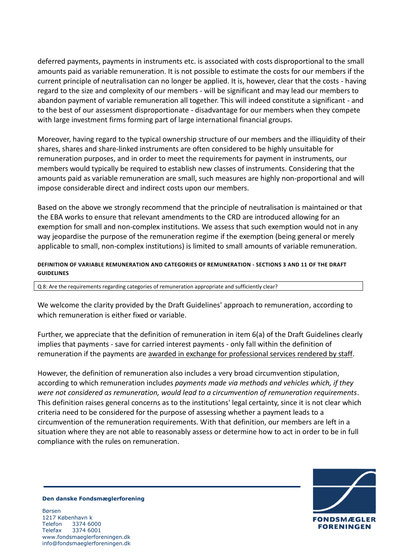deferred payments, payments in instruments etc. is associated with costs disproportional to the small amounts paid as variable remuneration. It is not possible to estimate the costs for our members if the current principle of neutralisation can no longer be applied. It is, however, clear that the costs - having regard to the size and complexity of our members - will be significant and may lead our members to abandon payment of variable remuneration all together. This will indeed constitute a significant - and to the best of our assessment disproportionate - disadvantage for our members when they compete with large investment firms forming part of large international financial groups.

Moreover, having regard to the typical ownership structure of our members and the illiquidity of their shares, shares and share-linked instruments are often considered to be highly unsuitable for remuneration purposes, and in order to meet the requirements for payment in instruments, our members would typically be required to establish new classes of instruments. Considering that the amounts paid as variable remuneration are small, such measures are highly non-proportional and will impose considerable direct and indirect costs upon our members.

Based on the above we strongly recommend that the principle of neutralisation is maintained or that the EBA works to ensure that relevant amendments to the CRD are introduced allowing for an exemption for small and non-complex institutions. We assess that such exemption would not in any way jeopardise the purpose of the remuneration regime if the exemption (being general or merely applicable to small, non-complex institutions) is limited to small amounts of variable remuneration.

## **DEFINITION OF VARIABLE REMUNERATION AND CATEGORIES OF REMUNERATION - SECTIONS 3 AND 11 OF THE DRAFT GUIDELINES**

Q 8: Are the requirements regarding categories of remuneration appropriate and sufficiently clear?

We welcome the clarity provided by the Draft Guidelines' approach to remuneration, according to which remuneration is either fixed or variable.

Further, we appreciate that the definition of remuneration in item 6(a) of the Draft Guidelines clearly implies that payments - save for carried interest payments - only fall within the definition of remuneration if the payments are awarded in exchange for professional services rendered by staff.

However, the definition of remuneration also includes a very broad circumvention stipulation, according to which remuneration includes *payments made via methods and vehicles which, if they were not considered as remuneration, would lead to a circumvention of remuneration requirements*. This definition raises general concerns as to the institutions' legal certainty, since it is not clear which criteria need to be considered for the purpose of assessing whether a payment leads to a circumvention of the remuneration requirements. With that definition, our members are left in a situation where they are not able to reasonably assess or determine how to act in order to be in full compliance with the rules on remuneration.



## **Den danske Fondsmæglerforening**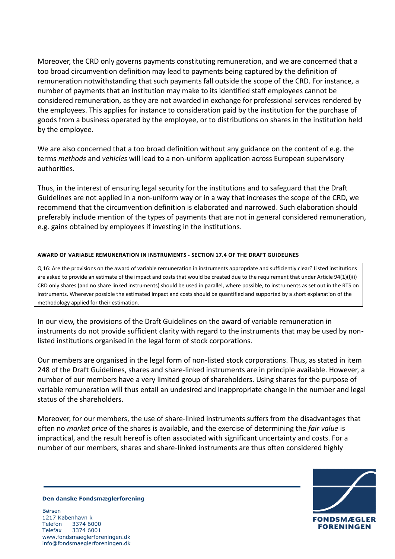Moreover, the CRD only governs payments constituting remuneration, and we are concerned that a too broad circumvention definition may lead to payments being captured by the definition of remuneration notwithstanding that such payments fall outside the scope of the CRD. For instance, a number of payments that an institution may make to its identified staff employees cannot be considered remuneration, as they are not awarded in exchange for professional services rendered by the employees. This applies for instance to consideration paid by the institution for the purchase of goods from a business operated by the employee, or to distributions on shares in the institution held by the employee.

We are also concerned that a too broad definition without any guidance on the content of e.g. the terms *methods* and *vehicles* will lead to a non-uniform application across European supervisory authorities.

Thus, in the interest of ensuring legal security for the institutions and to safeguard that the Draft Guidelines are not applied in a non-uniform way or in a way that increases the scope of the CRD, we recommend that the circumvention definition is elaborated and narrowed. Such elaboration should preferably include mention of the types of payments that are not in general considered remuneration, e.g. gains obtained by employees if investing in the institutions.

## **AWARD OF VARIABLE REMUNERATION IN INSTRUMENTS - SECTION 17.4 OF THE DRAFT GUIDELINES**

Q 16: Are the provisions on the award of variable remuneration in instruments appropriate and sufficiently clear? Listed institutions are asked to provide an estimate of the impact and costs that would be created due to the requirement that under Article 94(1)(l)(i) CRD only shares (and no share linked instruments) should be used in parallel, where possible, to instruments as set out in the RTS on instruments. Wherever possible the estimated impact and costs should be quantified and supported by a short explanation of the methodology applied for their estimation.

In our view, the provisions of the Draft Guidelines on the award of variable remuneration in instruments do not provide sufficient clarity with regard to the instruments that may be used by nonlisted institutions organised in the legal form of stock corporations.

Our members are organised in the legal form of non-listed stock corporations. Thus, as stated in item 248 of the Draft Guidelines, shares and share-linked instruments are in principle available. However, a number of our members have a very limited group of shareholders. Using shares for the purpose of variable remuneration will thus entail an undesired and inappropriate change in the number and legal status of the shareholders.

Moreover, for our members, the use of share-linked instruments suffers from the disadvantages that often no *market price* of the shares is available, and the exercise of determining the *fair value* is impractical, and the result hereof is often associated with significant uncertainty and costs. For a number of our members, shares and share-linked instruments are thus often considered highly



## **Den danske Fondsmæglerforening**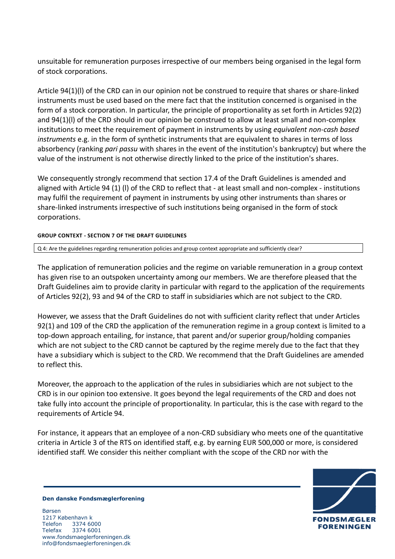unsuitable for remuneration purposes irrespective of our members being organised in the legal form of stock corporations.

Article 94(1)(l) of the CRD can in our opinion not be construed to require that shares or share-linked instruments must be used based on the mere fact that the institution concerned is organised in the form of a stock corporation. In particular, the principle of proportionality as set forth in Articles 92(2) and 94(1)(l) of the CRD should in our opinion be construed to allow at least small and non-complex institutions to meet the requirement of payment in instruments by using *equivalent non-cash based instruments* e.g. in the form of synthetic instruments that are equivalent to shares in terms of loss absorbency (ranking *pari passu* with shares in the event of the institution's bankruptcy) but where the value of the instrument is not otherwise directly linked to the price of the institution's shares.

We consequently strongly recommend that section 17.4 of the Draft Guidelines is amended and aligned with Article 94 (1) (l) of the CRD to reflect that - at least small and non-complex - institutions may fulfil the requirement of payment in instruments by using other instruments than shares or share-linked instruments irrespective of such institutions being organised in the form of stock corporations.

## **GROUP CONTEXT - SECTION 7 OF THE DRAFT GUIDELINES**

## Q 4: Are the guidelines regarding remuneration policies and group context appropriate and sufficiently clear?

The application of remuneration policies and the regime on variable remuneration in a group context has given rise to an outspoken uncertainty among our members. We are therefore pleased that the Draft Guidelines aim to provide clarity in particular with regard to the application of the requirements of Articles 92(2), 93 and 94 of the CRD to staff in subsidiaries which are not subject to the CRD.

However, we assess that the Draft Guidelines do not with sufficient clarity reflect that under Articles 92(1) and 109 of the CRD the application of the remuneration regime in a group context is limited to a top-down approach entailing, for instance, that parent and/or superior group/holding companies which are not subject to the CRD cannot be captured by the regime merely due to the fact that they have a subsidiary which is subject to the CRD. We recommend that the Draft Guidelines are amended to reflect this.

Moreover, the approach to the application of the rules in subsidiaries which are not subject to the CRD is in our opinion too extensive. It goes beyond the legal requirements of the CRD and does not take fully into account the principle of proportionality. In particular, this is the case with regard to the requirements of Article 94.

For instance, it appears that an employee of a non-CRD subsidiary who meets one of the quantitative criteria in Article 3 of the RTS on identified staff, e.g. by earning EUR 500,000 or more, is considered identified staff. We consider this neither compliant with the scope of the CRD nor with the



## **Den danske Fondsmæglerforening**